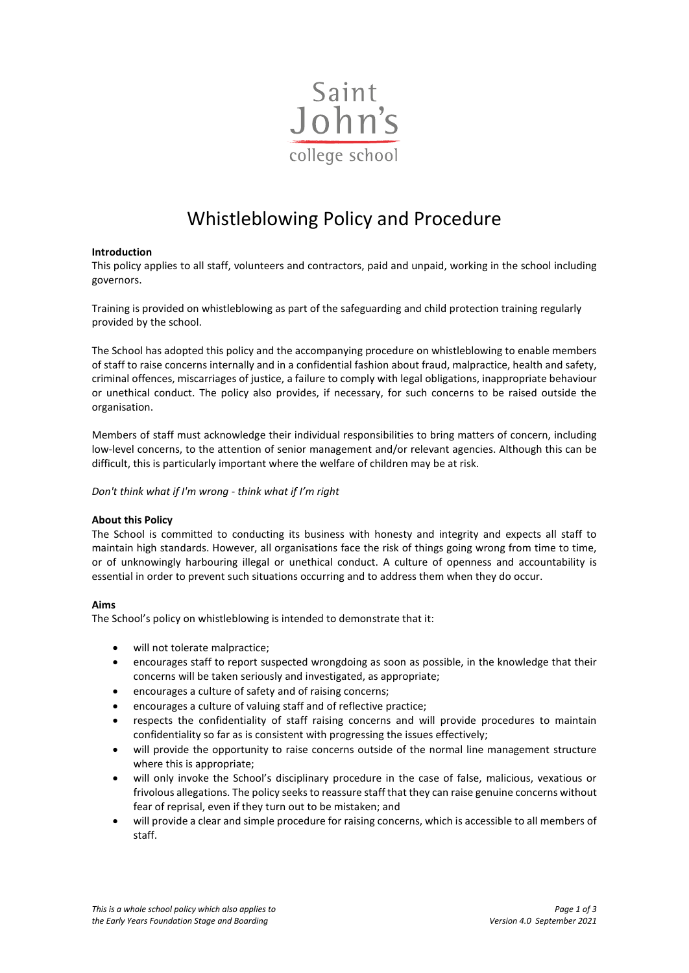

# Whistleblowing Policy and Procedure

# **Introduction**

This policy applies to all staff, volunteers and contractors, paid and unpaid, working in the school including governors.

Training is provided on whistleblowing as part of the safeguarding and child protection training regularly provided by the school.

The School has adopted this policy and the accompanying procedure on whistleblowing to enable members of staff to raise concerns internally and in a confidential fashion about fraud, malpractice, health and safety, criminal offences, miscarriages of justice, a failure to comply with legal obligations, inappropriate behaviour or unethical conduct. The policy also provides, if necessary, for such concerns to be raised outside the organisation.

Members of staff must acknowledge their individual responsibilities to bring matters of concern, including low-level concerns, to the attention of senior management and/or relevant agencies. Although this can be difficult, this is particularly important where the welfare of children may be at risk.

*Don't think what if I'm wrong - think what if I'm right*

## **About this Policy**

The School is committed to conducting its business with honesty and integrity and expects all staff to maintain high standards. However, all organisations face the risk of things going wrong from time to time, or of unknowingly harbouring illegal or unethical conduct. A culture of openness and accountability is essential in order to prevent such situations occurring and to address them when they do occur.

## **Aims**

The School's policy on whistleblowing is intended to demonstrate that it:

- will not tolerate malpractice;
- encourages staff to report suspected wrongdoing as soon as possible, in the knowledge that their concerns will be taken seriously and investigated, as appropriate;
- encourages a culture of safety and of raising concerns;
- encourages a culture of valuing staff and of reflective practice;
- respects the confidentiality of staff raising concerns and will provide procedures to maintain confidentiality so far as is consistent with progressing the issues effectively;
- will provide the opportunity to raise concerns outside of the normal line management structure where this is appropriate;
- will only invoke the School's disciplinary procedure in the case of false, malicious, vexatious or frivolous allegations. The policy seeks to reassure staff that they can raise genuine concerns without fear of reprisal, even if they turn out to be mistaken; and
- will provide a clear and simple procedure for raising concerns, which is accessible to all members of staff.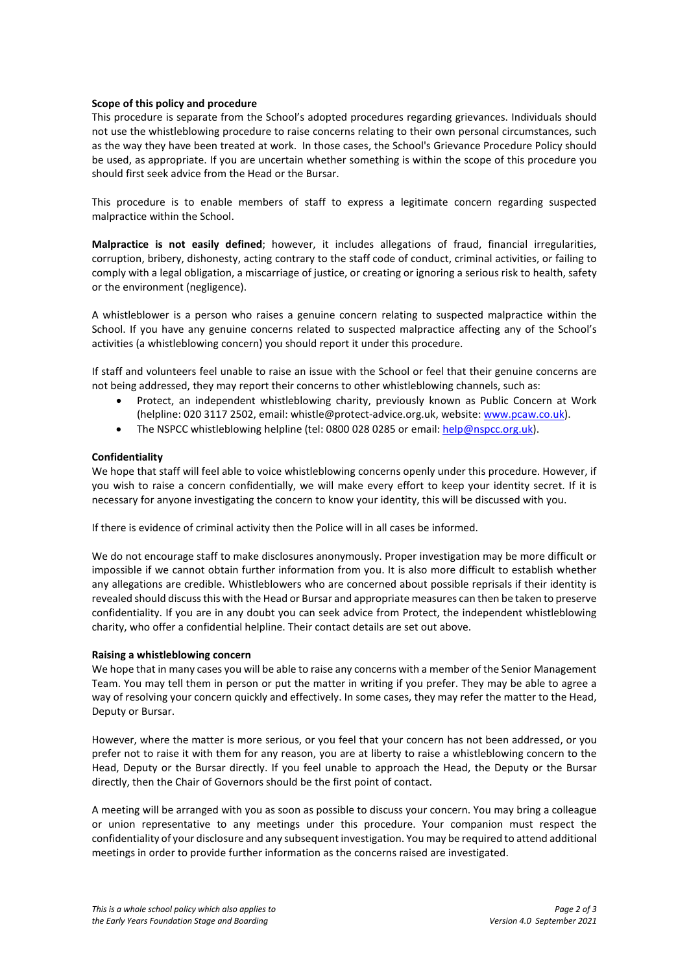## **Scope of this policy and procedure**

This procedure is separate from the School's adopted procedures regarding grievances. Individuals should not use the whistleblowing procedure to raise concerns relating to their own personal circumstances, such as the way they have been treated at work. In those cases, the School's Grievance Procedure Policy should be used, as appropriate. If you are uncertain whether something is within the scope of this procedure you should first seek advice from the Head or the Bursar.

This procedure is to enable members of staff to express a legitimate concern regarding suspected malpractice within the School.

**Malpractice is not easily defined**; however, it includes allegations of fraud, financial irregularities, corruption, bribery, dishonesty, acting contrary to the staff code of conduct, criminal activities, or failing to comply with a legal obligation, a miscarriage of justice, or creating or ignoring a serious risk to health, safety or the environment (negligence).

A whistleblower is a person who raises a genuine concern relating to suspected malpractice within the School. If you have any genuine concerns related to suspected malpractice affecting any of the School's activities (a whistleblowing concern) you should report it under this procedure.

If staff and volunteers feel unable to raise an issue with the School or feel that their genuine concerns are not being addressed, they may report their concerns to other whistleblowing channels, such as:

- Protect, an independent whistleblowing charity, previously known as Public Concern at Work (helpline: 020 3117 2502, email: whistle@protect-advice.org.uk, website[: www.pcaw.co.uk\)](http://www.pcaw.co.uk/).
- The NSPCC whistleblowing helpline (tel: 0800 028 0285 or email: [help@nspcc.org.uk\)](mailto:help@nspcc.org.uk).

## **Confidentiality**

We hope that staff will feel able to voice whistleblowing concerns openly under this procedure. However, if you wish to raise a concern confidentially, we will make every effort to keep your identity secret. If it is necessary for anyone investigating the concern to know your identity, this will be discussed with you.

If there is evidence of criminal activity then the Police will in all cases be informed.

We do not encourage staff to make disclosures anonymously. Proper investigation may be more difficult or impossible if we cannot obtain further information from you. It is also more difficult to establish whether any allegations are credible. Whistleblowers who are concerned about possible reprisals if their identity is revealed should discuss this with the Head or Bursar and appropriate measures can then be taken to preserve confidentiality. If you are in any doubt you can seek advice from Protect, the independent whistleblowing charity, who offer a confidential helpline. Their contact details are set out above.

#### **Raising a whistleblowing concern**

We hope that in many cases you will be able to raise any concerns with a member of the Senior Management Team. You may tell them in person or put the matter in writing if you prefer. They may be able to agree a way of resolving your concern quickly and effectively. In some cases, they may refer the matter to the Head, Deputy or Bursar.

However, where the matter is more serious, or you feel that your concern has not been addressed, or you prefer not to raise it with them for any reason, you are at liberty to raise a whistleblowing concern to the Head, Deputy or the Bursar directly. If you feel unable to approach the Head, the Deputy or the Bursar directly, then the Chair of Governors should be the first point of contact.

A meeting will be arranged with you as soon as possible to discuss your concern. You may bring a colleague or union representative to any meetings under this procedure. Your companion must respect the confidentiality of your disclosure and any subsequent investigation. You may be required to attend additional meetings in order to provide further information as the concerns raised are investigated.